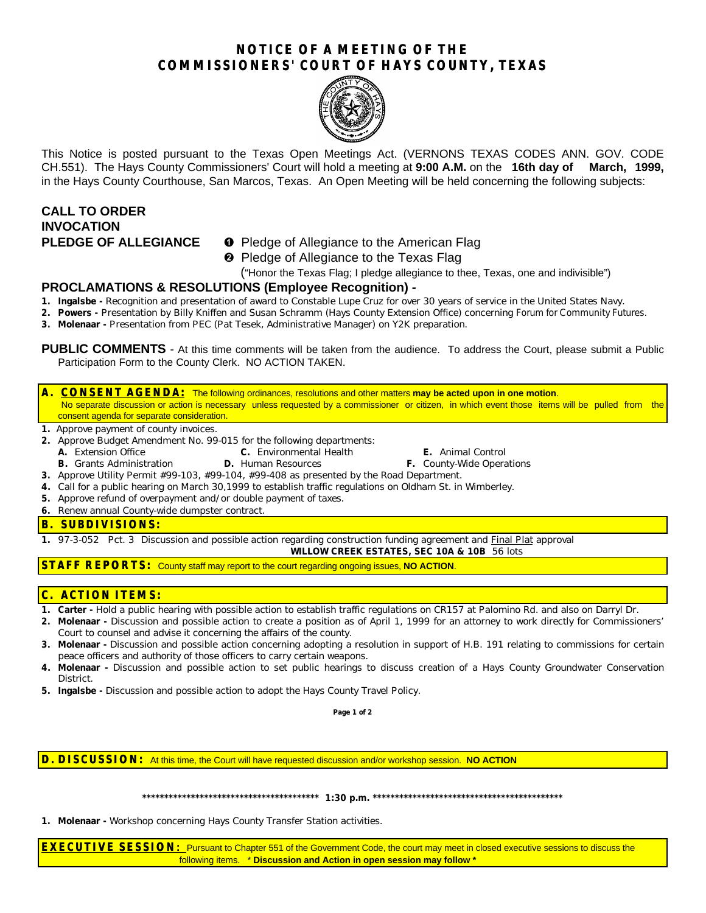# **NOTICE OF A MEETING OF THE COMMISSIONERS' COURT OF HAYS COUNTY, TEXAS**



This Notice is posted pursuant to the Texas Open Meetings Act. (VERNONS TEXAS CODES ANN. GOV. CODE CH.551). The Hays County Commissioners' Court will hold a meeting at **9:00 A.M.** on the **16th day of March, 1999,** in the Hays County Courthouse, San Marcos, Texas. An Open Meeting will be held concerning the following subjects:

# **CALL TO ORDER INVOCATION**

- **PLEDGE OF ALLEGIANCE O** Pledge of Allegiance to the American Flag
	- **<sup>2</sup>** Pledge of Allegiance to the Texas Flag

("Honor the Texas Flag; I pledge allegiance to thee, Texas, one and indivisible")

## **PROCLAMATIONS & RESOLUTIONS (Employee Recognition) -**

- **1. Ingalsbe -** Recognition and presentation of award to Constable Lupe Cruz for over 30 years of service in the United States Navy.
- **2. Powers -** Presentation by Billy Kniffen and Susan Schramm (Hays County Extension Office) concerning *Forum for Community Futures.*
- **3. Molenaar -** Presentation from PEC (Pat Tesek, Administrative Manager) on Y2K preparation.

**PUBLIC COMMENTS** - At this time comments will be taken from the audience. To address the Court, please submit a Public Participation Form to the County Clerk. NO ACTION TAKEN.

#### **A. CONSENT AGENDA:** The following ordinances, resolutions and other matters **may be acted upon in one motion**. No separate discussion or action is necessary unless requested by a commissioner or citizen, in which event those items will be pulled from the

- consent agenda for separate consideration.
- **1.** Approve payment of county invoices.
- **2.** Approve Budget Amendment No. 99-015 for the following departments:
	-
	- **A.** Extension Office **C.** Environmental Health **E.** Animal Control **B.** Grants Administration **D.** Human Resources **F.** County-Wide Operations

- **3.** Approve Utility Permit #99-103, #99-104, #99-408 as presented by the Road Department.
- **4.** Call for a public hearing on March 30,1999 to establish traffic regulations on Oldham St. in Wimberley.
- **5.** Approve refund of overpayment and/or double payment of taxes.
- **6.** Renew annual County-wide dumpster contract.

#### **B. SUBDIVISIONS:**

**1.** 97-3-052 Pct. 3 Discussion and possible action regarding construction funding agreement and Final Plat approval **WILLOW CREEK ESTATES, SEC 10A & 10B** 56 lots

**STAFF REPORTS:** County staff may report to the court regarding ongoing issues, **NO ACTION**.

## **C. ACTION ITEMS:**

- **1. Carter -** Hold a public hearing with possible action to establish traffic regulations on CR157 at Palomino Rd. and also on Darryl Dr.
- **2. Molenaar -** Discussion and possible action to create a position as of April 1, 1999 for an attorney to work directly for Commissioners' Court to counsel and advise it concerning the affairs of the county.
- **3. Molenaar** Discussion and possible action concerning adopting a resolution in support of H.B. 191 relating to commissions for certain peace officers and authority of those officers to carry certain weapons.
- **4. Molenaar -** Discussion and possible action to set public hearings to discuss creation of a Hays County Groundwater Conservation District.
- **5. Ingalsbe -** Discussion and possible action to adopt the Hays County Travel Policy.

**Page 1 of 2**

#### **D. DISCUSSION:** At this time, the Court will have requested discussion and/or workshop session. **NO ACTION**

**\*\*\*\*\*\*\*\*\*\*\*\*\*\*\*\*\*\*\*\*\*\*\*\*\*\*\*\*\*\*\*\*\*\*\*\*\*\*\*\* 1:30 p.m. \*\*\*\*\*\*\*\*\*\*\*\*\*\*\*\*\*\*\*\*\*\*\*\*\*\*\*\*\*\*\*\*\*\*\*\*\*\*\*\*\*\*\***

**1. Molenaar -** Workshop concerning Hays County Transfer Station activities.

**EXECUTIVE SESSION:** Pursuant to Chapter 551 of the Government Code, the court may meet in closed executive sessions to discuss the following items. \* **Discussion and Action in open session may follow \***